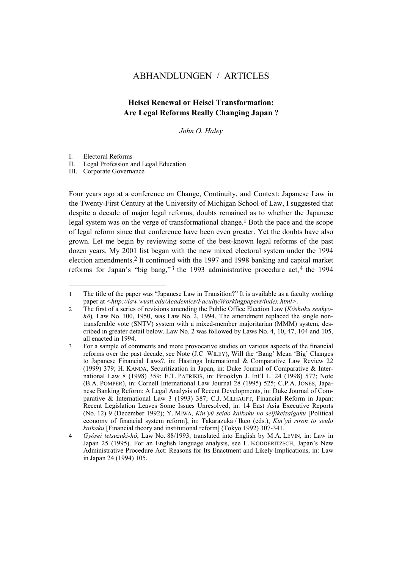# ABHANDLUNGEN / ARTICLES

# **Heisei Renewal or Heisei Transformation: Are Legal Reforms Really Changing Japan ?**

*John O. Haley* 

I. Electoral Reforms

l

II. Legal Profession and Legal Education

III. Corporate Governance

Four years ago at a conference on Change, Continuity, and Context: Japanese Law in the Twenty-First Century at the University of Michigan School of Law, I suggested that despite a decade of major legal reforms, doubts remained as to whether the Japanese legal system was on the verge of transformational change.<sup>1</sup> Both the pace and the scope of legal reform since that conference have been even greater. Yet the doubts have also grown. Let me begin by reviewing some of the best-known legal reforms of the past dozen years. My 2001 list began with the new mixed electoral system under the 1994 election amendments.[2](#page-0-1) It continued with the 1997 and 1998 banking and capital market reforms for Japan's "big bang,"<sup>3</sup> the 199[3](#page-0-2) administrative procedure  $act<sub>1</sub><sup>4</sup>$  the 1994

<span id="page-0-0"></span><sup>1</sup> The title of the paper was "Japanese Law in Transition?" It is available as a faculty working paper at *<http://law.wustl.edu/Academics/Faculty/Workingpapers/index.html>.*

<span id="page-0-1"></span><sup>2</sup> The first of a series of revisions amending the Public Office Election Law (*Kôshoku senkyohô*), Law No. 100, 1950, was Law No. 2, 1994. The amendment replaced the single nontransferable vote (SNTV) system with a mixed-member majoritarian (MMM) system, described in greater detail below. Law No. 2 was followed by Laws No. 4, 10, 47, 104 and 105, all enacted in 1994.

<span id="page-0-2"></span><sup>3</sup> For a sample of comments and more provocative studies on various aspects of the financial reforms over the past decade, see Note (J.C WILEY), Will the 'Bang' Mean 'Big' Changes to Japanese Financial Laws?, in: Hastings International & Comparative Law Review 22 (1999) 379; H. KANDA, Securitization in Japan, in: Duke Journal of Comparative & International Law 8 (1998) 359; E.T. PATRIKIS, in: Brooklyn J. Int'l L*.* 24 (1998) 577; Note (B.A. POMPER), in: Cornell International Law Journal 28 (1995) 525; C.P.A. JONES, Japanese Banking Reform: A Legal Analysis of Recent Developments, in: Duke Journal of Comparative & International Law 3 (1993) 387; C.J. MILHAUPT, Financial Reform in Japan: Recent Legislation Leaves Some Issues Unresolved, in: 14 East Asia Executive Reports (No. 12) 9 (December 1992); Y. MIWA, *Kin'yû seido kaikaku no seijikeizaigaku* [Political economy of financial system reform], in: Takarazuka / Ikeo (eds.), *Kin'yû riron to seido kaikaku* [Financial theory and institutional reform] (Tokyo 1992) 307-341.

<span id="page-0-3"></span><sup>4</sup> *Gyôsei tetsuzuki-hô*, Law No. 88/1993, translated into English by M.A. LEVIN, in: Law in Japan 25 (1995). For an English language analysis, see L. KÖDDERITZSCH, Japan's New Administrative Procedure Act: Reasons for Its Enactment and Likely Implications, in: Law in Japan 24 (1994) 105.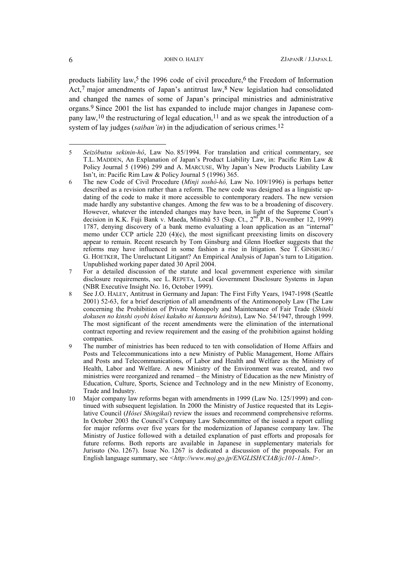products liability law,<sup>[5](#page-1-0)</sup> the 199[6](#page-1-1) code of civil procedure,<sup>6</sup> the Freedom of Information Act,<sup>[7](#page-1-2)</sup> major amendments of Japan's antitrust law,<sup>[8](#page-1-3)</sup> New legislation had consolidated and changed the names of some of Japan's principal ministries and administrative organs.[9](#page-1-4) Since 2001 the list has expanded to include major changes in Japanese com-pany law,<sup>[10](#page-1-5)</sup> the restructuring of legal education,<sup>11</sup> and as we speak the introduction of a system of lay judges *(saiban'in)* in the adjudication of serious crimes.<sup>[12](#page-1-7)</sup>

<span id="page-1-0"></span><sup>5</sup> *Seizôbutsu sekinin-hô*, Law No. 85/1994. For translation and critical commentary, see T.L. MADDEN, An Explanation of Japan's Product Liability Law, in: Pacific Rim Law & Policy Journal 5 (1996) 299 and A. MARCUSE, Why Japan's New Products Liability Law Isn't, in: Pacific Rim Law & Policy Journal 5 (1996) 365.

<span id="page-1-1"></span><sup>6</sup> The new Code of Civil Procedure (*Minji soshô-hô,* Law No. 109/1996) is perhaps better described as a revision rather than a reform. The new code was designed as a linguistic updating of the code to make it more accessible to contemporary readers. The new version made hardly any substantive changes. Among the few was to be a broadening of discovery. However, whatever the intended changes may have been, in light of the Supreme Court's decision in K.K. Fuji Bank v. Maeda, Minshû 53 (Sup. Ct., 2nd P.B., November 12, 1999) 1787, denying discovery of a bank memo evaluating a loan application as an "internal" memo under CCP article 220 (4)(c), the most significant preexisting limits on discovery appear to remain. Recent research by Tom Ginsburg and Glenn Hoetker suggests that the reforms may have influenced in some fashion a rise in litigation. See  $\overline{T}$ . GINSBURG / G. HOETKER, The Unreluctant Litigant? An Empirical Analysis of Japan's turn to Litigation. Unpublished working paper dated 30 April 2004.

<span id="page-1-2"></span><sup>7</sup> For a detailed discussion of the statute and local government experience with similar disclosure requirements, see L. REPETA, Local Government Disclosure Systems in Japan (NBR Executive Insight No. 16, October 1999).

<span id="page-1-3"></span><sup>8</sup> See J.O. HALEY, Antitrust in Germany and Japan: The First Fifty Years, 1947-1998 (Seattle 2001) 52-63, for a brief description of all amendments of the Antimonopoly Law (The Law concerning the Prohibition of Private Monopoly and Maintenance of Fair Trade (*Shiteki dokusen no kinshi oyobi kôsei kakuho ni kansuru hôritsu*), Law No. 54/1947, through 1999. The most significant of the recent amendments were the elimination of the international contract reporting and review requirement and the easing of the prohibition against holding companies.

<span id="page-1-6"></span><span id="page-1-4"></span><sup>9</sup> The number of ministries has been reduced to ten with consolidation of Home Affairs and Posts and Telecommunications into a new Ministry of Public Management, Home Affairs and Posts and Telecommunications, of Labor and Health and Welfare as the Ministry of Health, Labor and Welfare. A new Ministry of the Environment was created, and two ministries were reorganized and renamed – the Ministry of Education as the new Ministry of Education, Culture, Sports, Science and Technology and in the new Ministry of Economy, Trade and Industry.

<span id="page-1-7"></span><span id="page-1-5"></span><sup>10</sup> Major company law reforms began with amendments in 1999 (Law No. 125/1999) and continued with subsequent legislation. In 2000 the Ministry of Justice requested that its Legislative Council (*Hôsei Shingikai*) review the issues and recommend comprehensive reforms. In October 2003 the Council's Company Law Subcommittee of the issued a report calling for major reforms over five years for the modernization of Japanese company law. The Ministry of Justice followed with a detailed explanation of past efforts and proposals for future reforms. Both reports are available in Japanese in supplementary materials for Jurisuto (No. 1267). Issue No. 1267 is dedicated a discussion of the proposals. For an English language summary, see *<http://www.moj.go.jp/ENGLISH/CIAB/jc101-1.html>*.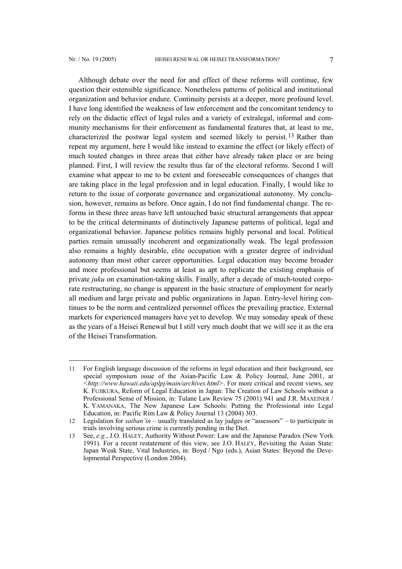l

Although debate over the need for and effect of these reforms will continue, few question their ostensible significance. Nonetheless patterns of political and institutional organization and behavior endure. Continuity persists at a deeper, more profound level. I have long identified the weakness of law enforcement and the concomitant tendency to rely on the didactic effect of legal rules and a variety of extralegal, informal and community mechanisms for their enforcement as fundamental features that, at least to me, characterized the postwar legal system and seemed likely to persist.[13](#page-2-0) Rather than repeat my argument, here I would like instead to examine the effect (or likely effect) of much touted changes in three areas that either have already taken place or are being planned. First, I will review the results thus far of the electoral reforms. Second I will examine what appear to me to be extent and foreseeable consequences of changes that

are taking place in the legal profession and in legal education. Finally, I would like to return to the issue of corporate governance and organizational autonomy. My conclusion, however, remains as before. Once again, I do not find fundamental change. The reforms in these three areas have left untouched basic structural arrangements that appear to be the critical determinants of distinctively Japanese patterns of political, legal and organizational behavior. Japanese politics remains highly personal and local. Political parties remain unusually incoherent and organizationally weak. The legal profession also remains a highly desirable, elite occupation with a greater degree of individual autonomy than most other career opportunities. Legal education may become broader and more professional but seems at least as apt to replicate the existing emphasis of private *juku* on examination-taking skills. Finally, after a decade of much-touted corporate restructuring, no change is apparent in the basic structure of employment for nearly all medium and large private and public organizations in Japan. Entry-level hiring continues to be the norm and centralized personnel offices the prevailing practice. External markets for experienced managers have yet to develop. We may someday speak of these as the years of a Heisei Renewal but I still very much doubt that we will see it as the era of the Heisei Transformation.

<sup>11</sup> For English language discussion of the reforms in legal education and their background, see special symposium issue of the Asian-Pacific Law & Policy Journal, June 2001, at *<http://www.hawaii.edu/aplpj/main/archives.html>*. For more critical and recent views, see K. FUJIKURA, Reform of Legal Education in Japan: The Creation of Law Schools without a Professional Sense of Mission, in: Tulane Law Review 75 (2001) 941 and J.R. MAXEINER / K. YAMANAKA, The New Japanese Law Schools: Putting the Professional into Legal Education, in: Pacific Rim Law & Policy Journal 13 (2004) 303.

<sup>12</sup> Legislation for *saiban'in –* usually translated as lay judges or "assessors" – to participate in trials involving serious crime is currently pending in the Diet.

<span id="page-2-0"></span><sup>13</sup> See, *e.g.*, J.O. HALEY, Authority Without Power: Law and the Japanese Paradox (New York 1991). For a recent restatement of this view, see J.O. HALEY, Revisiting the Asian State: Japan Weak State, Vital Industries, in: Boyd / Ngo (eds.), Asian States: Beyond the Developmental Perspective (London 2004).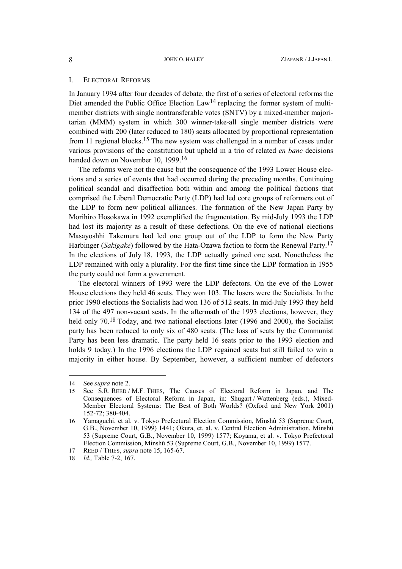# I. ELECTORAL REFORMS

In January 1994 after four decades of debate, the first of a series of electoral reforms the Diet amended the Public Office Election Law<sup>14</sup> replacing the former system of multimember districts with single nontransferable votes (SNTV) by a mixed-member majoritarian (MMM) system in which 300 winner-take-all single member districts were combined with 200 (later reduced to 180) seats allocated by proportional representation from 11 regional blocks.<sup>[15](#page-3-1)</sup> The new system was challenged in a number of cases under various provisions of the constitution but upheld in a trio of related *en banc* decisions handed down on November 10, 1999[.16](#page-3-2) 

The reforms were not the cause but the consequence of the 1993 Lower House elections and a series of events that had occurred during the preceding months. Continuing political scandal and disaffection both within and among the political factions that comprised the Liberal Democratic Party (LDP) had led core groups of reformers out of the LDP to form new political alliances. The formation of the New Japan Party by Morihiro Hosokawa in 1992 exemplified the fragmentation. By mid-July 1993 the LDP had lost its majority as a result of these defections. On the eve of national elections Masayoshhi Takemura had led one group out of the LDP to form the New Party Harbinger (*Sakigake*) followed by the Hata-Ozawa faction to form the Renewal Party. [17](#page-3-3) In the elections of July 18, 1993, the LDP actually gained one seat. Nonetheless the LDP remained with only a plurality. For the first time since the LDP formation in 1955 the party could not form a government.

The electoral winners of 1993 were the LDP defectors. On the eve of the Lower House elections they held 46 seats. They won 103. The losers were the Socialists. In the prior 1990 elections the Socialists had won 136 of 512 seats. In mid-July 1993 they held 134 of the 497 non-vacant seats. In the aftermath of the 1993 elections, however, they held only 70.<sup>[18](#page-3-4)</sup> Today, and two national elections later (1996 and 2000), the Socialist party has been reduced to only six of 480 seats. (The loss of seats by the Communist Party has been less dramatic. The party held 16 seats prior to the 1993 election and holds 9 today.) In the 1996 elections the LDP regained seats but still failed to win a majority in either house. By September, however, a sufficient number of defectors

<span id="page-3-0"></span><sup>14</sup> See *supra* note 2.

<span id="page-3-1"></span><sup>15</sup> See S.R. REED / M.F. THIES, The Causes of Electoral Reform in Japan, and The Consequences of Electoral Reform in Japan, in: Shugart / Wattenberg (eds.), Mixed-Member Electoral Systems: The Best of Both Worlds? (Oxford and New York 2001) 152-72; 380-404.

<span id="page-3-2"></span><sup>16</sup> Yamaguchi, et al. v. Tokyo Prefectural Election Commission, Minshû 53 (Supreme Court, G.B., November 10, 1999) 1441; Okura, et. al. v. Central Election Administration, Minshû 53 (Supreme Court, G.B., November 10, 1999) 1577; Koyama, et al. v. Tokyo Prefectoral Election Commission, Minshû 53 (Supreme Court, G.B., November 10, 1999) 1577.

<span id="page-3-3"></span><sup>17</sup> REED / THIES, *supra* note 15, 165-67.

<span id="page-3-4"></span><sup>18</sup> *Id.,* Table 7-2, 167.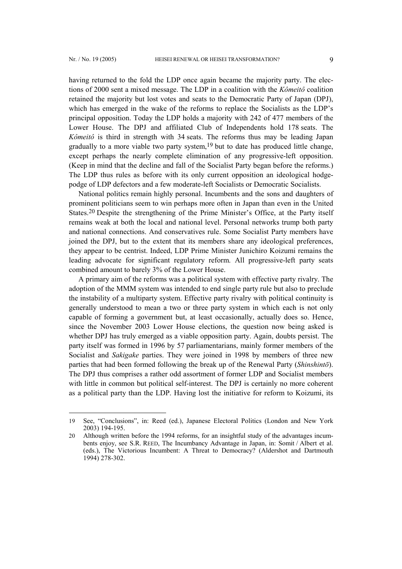$\overline{a}$ 

having returned to the fold the LDP once again became the majority party. The elections of 2000 sent a mixed message. The LDP in a coalition with the *Kômeitô* coalition retained the majority but lost votes and seats to the Democratic Party of Japan (DPJ), which has emerged in the wake of the reforms to replace the Socialists as the LDP's principal opposition. Today the LDP holds a majority with 242 of 477 members of the Lower House. The DPJ and affiliated Club of Independents hold 178 seats. The *Kômeitô* is third in strength with 34 seats. The reforms thus may be leading Japan gradually to a more viable two party system,<sup>[19](#page-4-0)</sup> but to date has produced little change, except perhaps the nearly complete elimination of any progressive-left opposition. (Keep in mind that the decline and fall of the Socialist Party began before the reforms.) The LDP thus rules as before with its only current opposition an ideological hodgepodge of LDP defectors and a few moderate-left Socialists or Democratic Socialists.

National politics remain highly personal. Incumbents and the sons and daughters of prominent politicians seem to win perhaps more often in Japan than even in the United States.[20](#page-4-1) Despite the strengthening of the Prime Minister's Office, at the Party itself remains weak at both the local and national level. Personal networks trump both party and national connections. And conservatives rule. Some Socialist Party members have joined the DPJ, but to the extent that its members share any ideological preferences, they appear to be centrist. Indeed, LDP Prime Minister Junichiro Koizumi remains the leading advocate for significant regulatory reform. All progressive-left party seats combined amount to barely 3% of the Lower House.

A primary aim of the reforms was a political system with effective party rivalry. The adoption of the MMM system was intended to end single party rule but also to preclude the instability of a multiparty system. Effective party rivalry with political continuity is generally understood to mean a two or three party system in which each is not only capable of forming a government but, at least occasionally, actually does so. Hence, since the November 2003 Lower House elections, the question now being asked is whether DPJ has truly emerged as a viable opposition party. Again, doubts persist. The party itself was formed in 1996 by 57 parliamentarians, mainly former members of the Socialist and *Sakigake* parties. They were joined in 1998 by members of three new parties that had been formed following the break up of the Renewal Party (*Shinshintō*). The DPJ thus comprises a rather odd assortment of former LDP and Socialist members with little in common but political self-interest. The DPJ is certainly no more coherent as a political party than the LDP. Having lost the initiative for reform to Koizumi, its

<span id="page-4-0"></span><sup>19</sup> See, "Conclusions", in: Reed (ed.), Japanese Electoral Politics (London and New York 2003) 194-195.

<span id="page-4-1"></span><sup>20</sup> Although written before the 1994 reforms, for an insightful study of the advantages incumbents enjoy, see S.R. REED, The Incumbancy Advantage in Japan, in: Somit / Albert et al. (eds.), The Victorious Incumbent: A Threat to Democracy? (Aldershot and Dartmouth 1994) 278-302.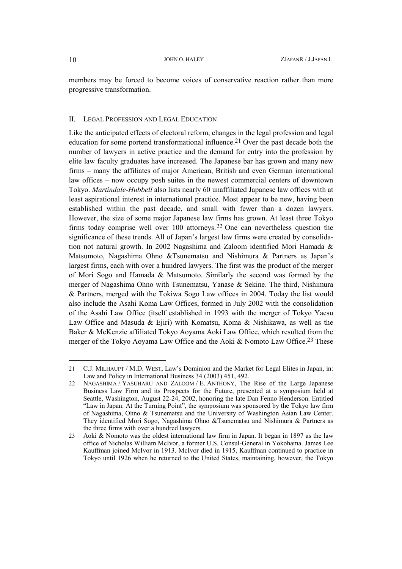<span id="page-5-2"></span>members may be forced to become voices of conservative reaction rather than more progressive transformation.

### II. LEGAL PROFESSION AND LEGAL EDUCATION

Like the anticipated effects of electoral reform, changes in the legal profession and legal education for some portend transformational influence.[21](#page-5-0) Over the past decade both the number of lawyers in active practice and the demand for entry into the profession by elite law faculty graduates have increased. The Japanese bar has grown and many new firms – many the affiliates of major American, British and even German international law offices – now occupy posh suites in the newest commercial centers of downtown Tokyo. *Martindale-Hubbell* also lists nearly 60 unaffiliated Japanese law offices with at least aspirational interest in international practice. Most appear to be new, having been established within the past decade, and small with fewer than a dozen lawyers. However, the size of some major Japanese law firms has grown. At least three Tokyo firms today comprise well over 100 attorneys.[22](#page-5-1) One can nevertheless question the significance of these trends. All of Japan's largest law firms were created by consolidation not natural growth. In 2002 Nagashima and Zaloom identified Mori Hamada & Matsumoto, Nagashima Ohno &Tsunematsu and Nishimura & Partners as Japan's largest firms, each with over a hundred lawyers. The first was the product of the merger of Mori Sogo and Hamada & Matsumoto. Similarly the second was formed by the merger of Nagashima Ohno with Tsunematsu, Yanase & Sekine. The third, Nishimura & Partners, merged with the Tokiwa Sogo Law offices in 2004. Today the list would also include the Asahi Koma Law Offices, formed in July 2002 with the consolidation of the Asahi Law Office (itself established in 1993 with the merger of Tokyo Yaesu Law Office and Masuda & Ejiri) with Komatsu, Koma & Nishikawa, as well as the Baker & McKenzie affiliated Tokyo Aoyama Aoki Law Office, which resulted from the merger of the Tokyo Aoyama Law Office and the Aoki & Nomoto Law Office.<sup>23</sup> These

<span id="page-5-0"></span><sup>21</sup> C.J. MILHAUPT / M.D. WEST, Law's Dominion and the Market for Legal Elites in Japan, in: Law and Policy in International Business 34 (2003) 451, 492*.* 

<span id="page-5-1"></span><sup>22</sup> NAGASHIMA / YASUHARU AND ZALOOM / E. ANTHONY, The Rise of the Large Japanese Business Law Firm and its Prospects for the Future, presented at a symposium held at Seattle, Washington, August 22-24, 2002, honoring the late Dan Fenno Henderson. Entitled "Law in Japan: At the Turning Point", the symposium was sponsored by the Tokyo law firm of Nagashima, Ohno & Tsunematsu and the University of Washington Asian Law Center. They identified Mori Sogo, Nagashima Ohno &Tsunematsu and Nishimura & Partners as the three firms with over a hundred lawyers.

<sup>23</sup> Aoki & Nomoto was the oldest international law firm in Japan. It began in 1897 as the law office of Nicholas William McIvor, a former U.S. Consul-General in Yokohama. James Lee Kauffman joined McIvor in 1913. McIvor died in 1915, Kauffman continued to practice in Tokyo until 1926 when he returned to the United States, maintaining, however, the Tokyo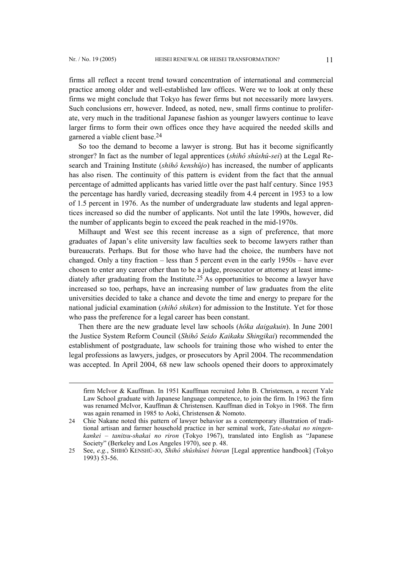$\overline{a}$ 

firms all reflect a recent trend toward concentration of international and commercial practice among older and well-established law offices. Were we to look at only these firms we might conclude that Tokyo has fewer firms but not necessarily more lawyers. Such conclusions err, however. Indeed, as noted, new, small firms continue to proliferate, very much in the traditional Japanese fashion as younger lawyers continue to leave larger firms to form their own offices once they have acquired the needed skills and garnered a viable client base.[24](#page-6-0) 

So too the demand to become a lawyer is strong. But has it become significantly stronger? In fact as the number of legal apprentices (*shihô shûshû-sei*) at the Legal Research and Training Institute (*shihô kenshûjo*) has increased, the number of applicants has also risen. The continuity of this pattern is evident from the fact that the annual percentage of admitted applicants has varied little over the past half century. Since 1953 the percentage has hardly varied, decreasing steadily from 4.4 percent in 1953 to a low of 1.5 percent in 1976. As the number of undergraduate law students and legal apprentices increased so did the number of applicants. Not until the late 1990s, however, did the number of applicants begin to exceed the peak reached in the mid-1970s.

Milhaupt and West see this recent increase as a sign of preference, that more graduates of Japan's elite university law faculties seek to become lawyers rather than bureaucrats. Perhaps. But for those who have had the choice, the numbers have not changed. Only a tiny fraction – less than 5 percent even in the early 1950s – have ever chosen to enter any career other than to be a judge, prosecutor or attorney at least immediately after graduating from the Institute.<sup>25</sup> As opportunities to become a lawyer have increased so too, perhaps, have an increasing number of law graduates from the elite universities decided to take a chance and devote the time and energy to prepare for the national judicial examination (*shihô shiken*) for admission to the Institute. Yet for those who pass the preference for a legal career has been constant.

Then there are the new graduate level law schools (*hôka daigakuin*). In June 2001 the Justice System Reform Council (*Shihô Seido Kaikaku Shingikai*) recommended the establishment of postgraduate, law schools for training those who wished to enter the legal professions as lawyers, judges, or prosecutors by April 2004. The recommendation was accepted. In April 2004, 68 new law schools opened their doors to approximately

firm McIvor & Kauffman. In 1951 Kauffman recruited John B. Christensen, a recent Yale Law School graduate with Japanese language competence, to join the firm. In 1963 the firm was renamed McIvor, Kauffman & Christensen. Kauffman died in Tokyo in 1968. The firm was again renamed in 1985 to Aoki, Christensen & Nomoto.

<span id="page-6-0"></span><sup>24</sup> Chie Nakane noted this pattern of lawyer behavior as a contemporary illustration of traditional artisan and farmer household practice in her seminal work, *Tate-shakai no ningenkankei – tanitsu-shakai no riron* (Tokyo 1967), translated into English as "Japanese Society" (Berkeley and Los Angeles 1970), see p. 48.

<span id="page-6-1"></span><sup>25</sup> See, *e.g.*, SHIHÔ KENSHÛ-JO, *Shihô shûshûsei binran* [Legal apprentice handbook] (Tokyo 1993) 53-56.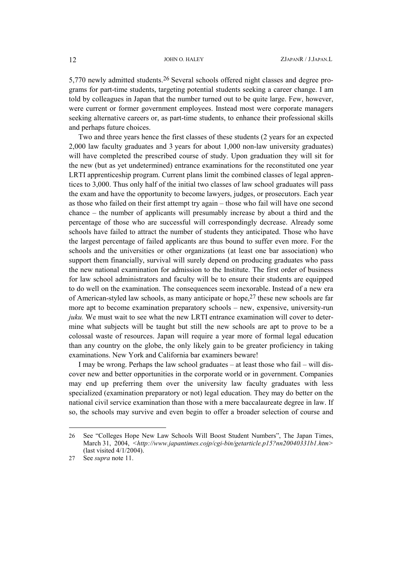5,770 newly admitted students.[26](#page-7-0) Several schools offered night classes and degree programs for part-time students, targeting potential students seeking a career change. I am told by colleagues in Japan that the number turned out to be quite large. Few, however, were current or former government employees. Instead most were corporate managers seeking alternative careers or, as part-time students, to enhance their professional skills and perhaps future choices.

Two and three years hence the first classes of these students (2 years for an expected 2,000 law faculty graduates and 3 years for about 1,000 non-law university graduates) will have completed the prescribed course of study. Upon graduation they will sit for the new (but as yet undetermined) entrance examinations for the reconstituted one year LRTI apprenticeship program. Current plans limit the combined classes of legal apprentices to 3,000. Thus only half of the initial two classes of law school graduates will pass the exam and have the opportunity to become lawyers, judges, or prosecutors. Each year as those who failed on their first attempt try again – those who fail will have one second chance – the number of applicants will presumably increase by about a third and the percentage of those who are successful will correspondingly decrease. Already some schools have failed to attract the number of students they anticipated. Those who have the largest percentage of failed applicants are thus bound to suffer even more. For the schools and the universities or other organizations (at least one bar association) who support them financially, survival will surely depend on producing graduates who pass the new national examination for admission to the Institute. The first order of business for law school administrators and faculty will be to ensure their students are equipped to do well on the examination. The consequences seem inexorable. Instead of a new era of American-styled law schools, as many anticipate or hope[,27](#page-7-1) these new schools are far more apt to become examination preparatory schools – new, expensive, university-run *juku*. We must wait to see what the new LRTI entrance examination will cover to determine what subjects will be taught but still the new schools are apt to prove to be a colossal waste of resources. Japan will require a year more of formal legal education than any country on the globe, the only likely gain to be greater proficiency in taking examinations. New York and California bar examiners beware!

I may be wrong. Perhaps the law school graduates – at least those who fail – will discover new and better opportunities in the corporate world or in government. Companies may end up preferring them over the university law faculty graduates with less specialized (examination preparatory or not) legal education. They may do better on the national civil service examination than those with a mere baccalaureate degree in law. If so, the schools may survive and even begin to offer a broader selection of course and

<span id="page-7-0"></span><sup>26</sup> See "Colleges Hope New Law Schools Will Boost Student Numbers", The Japan Times, March 31, 2004, *[<http://www.japantimes.cojp/cgi-bin/getarticle.p15?nn20040331b1.htm>](http://www.japantimes.cojp/cgi-bin/getarticle.p15?nn20040331b1.htm)* (last visited 4/1/2004).

<span id="page-7-1"></span><sup>27</sup> See *supra* note 11.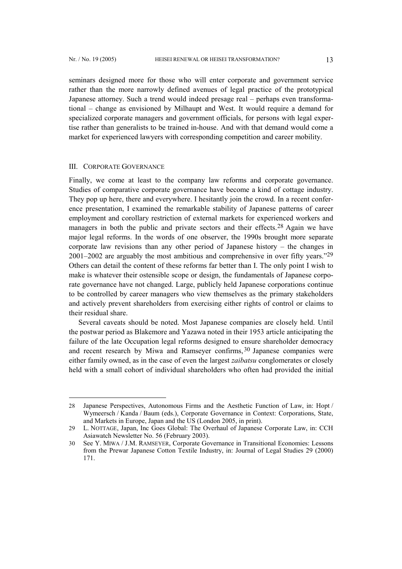$\overline{a}$ 

seminars designed more for those who will enter corporate and government service rather than the more narrowly defined avenues of legal practice of the prototypical Japanese attorney. Such a trend would indeed presage real – perhaps even transformational – change as envisioned by Milhaupt and West. It would require a demand for specialized corporate managers and government officials, for persons with legal expertise rather than generalists to be trained in-house. And with that demand would come a market for experienced lawyers with corresponding competition and career mobility.

## III. CORPORATE GOVERNANCE

Finally, we come at least to the company law reforms and corporate governance. Studies of comparative corporate governance have become a kind of cottage industry. They pop up here, there and everywhere. I hesitantly join the crowd. In a recent conference presentation, I examined the remarkable stability of Japanese patterns of career employment and corollary restriction of external markets for experienced workers and managers in both the public and private sectors and their effects.<sup>[28](#page-8-0)</sup> Again we have major legal reforms. In the words of one observer, the 1990s brought more separate corporate law revisions than any other period of Japanese history – the changes in 2001–2002 are arguably the most ambitious and comprehensive in over fifty years."[29](#page-8-1) Others can detail the content of these reforms far better than I. The only point I wish to make is whatever their ostensible scope or design, the fundamentals of Japanese corporate governance have not changed. Large, publicly held Japanese corporations continue to be controlled by career managers who view themselves as the primary stakeholders and actively prevent shareholders from exercising either rights of control or claims to their residual share.

Several caveats should be noted. Most Japanese companies are closely held. Until the postwar period as Blakemore and Yazawa noted in their 1953 article anticipating the failure of the late Occupation legal reforms designed to ensure shareholder democracy and recent research by Miwa and Ramseyer confirms,  $30$  Japanese companies were either family owned, as in the case of even the largest *zaibatsu* conglomerates or closely held with a small cohort of individual shareholders who often had provided the initial

<span id="page-8-0"></span><sup>28</sup> Japanese Perspectives, Autonomous Firms and the Aesthetic Function of Law, in: Hopt / Wymeersch / Kanda / Baum (eds.), Corporate Governance in Context: Corporations, State, and Markets in Europe, Japan and the US (London 2005, in print).

<span id="page-8-1"></span><sup>29</sup> L. NOTTAGE, Japan, Inc Goes Global: The Overhaul of Japanese Corporate Law, in: CCH Asiawatch Newsletter No. 56 (February 2003).

<span id="page-8-2"></span><sup>30</sup> See Y. MIWA / J.M. RAMSEYER, Corporate Governance in Transitional Economies: Lessons from the Prewar Japanese Cotton Textile Industry, in: Journal of Legal Studies 29 (2000) 171.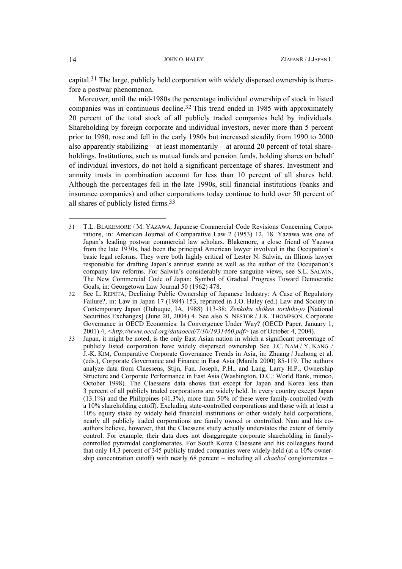<span id="page-9-2"></span>capital[.31](#page-9-0) The large, publicly held corporation with widely dispersed ownership is therefore a postwar phenomenon.

Moreover, until the mid-1980s the percentage individual ownership of stock in listed companies was in continuous decline[.32](#page-9-1) This trend ended in 1985 with approximately 20 percent of the total stock of all publicly traded companies held by individuals. Shareholding by foreign corporate and individual investors, never more than 5 percent prior to 1980, rose and fell in the early 1980s but increased steadily from 1990 to 2000 also apparently stabilizing – at least momentarily – at around 20 percent of total shareholdings. Institutions, such as mutual funds and pension funds, holding shares on behalf of individual investors, do not hold a significant percentage of shares. Investment and annuity trusts in combination account for less than 10 percent of all shares held. Although the percentages fell in the late 1990s, still financial institutions (banks and insurance companies) and other corporations today continue to hold over 50 percent of all shares of publicly listed firms.[33](#page-9-2)

 $\overline{a}$ 

<span id="page-9-0"></span><sup>31</sup> T.L. BLAKEMORE / M. YAZAWA, Japanese Commercial Code Revisions Concerning Corporations, in: American Journal of Comparative Law 2 (1953) 12, 18. Yazawa was one of Japan's leading postwar commercial law scholars. Blakemore, a close friend of Yazawa from the late 1930s, had been the principal American lawyer involved in the Occupation's basic legal reforms. They were both highly critical of Lester N. Salwin, an Illinois lawyer responsible for drafting Japan's antirust statute as well as the author of the Occupation's company law reforms. For Salwin's considerably more sanguine views, see S.L. SALWIN, The New Commercial Code of Japan: Symbol of Gradual Progress Toward Democratic Goals, in: Georgetown Law Journal 50 (1962) 478.

<span id="page-9-1"></span><sup>32</sup> See L. REPETA, Declining Public Ownership of Japanese Industry: A Case of Regulatory Failure?, in: Law in Japan 17 (1984) 153, reprinted in J.O. Haley (ed.) Law and Society in Contemporary Japan (Dubuque, IA, 1988) 113-38; *Zenkoku shôken torihiki-jo* [National Securities Exchanges] (June 20, 2004) 4. See also S. NESTOR / J.K. THOMPSON, Corporate Governance in OECD Economies: Is Convergence Under Way? (OECD Paper, January 1, 2001) 4, *[<http://www.oecd.org/dataoecd/7/10/1931460.pdf>](http://www.oecd.org/dataoecd/7/10/1931460.pdf)* (as of October 4, 2004).

<sup>33</sup> Japan, it might be noted, is the only East Asian nation in which a significant percentage of publicly listed corporation have widely dispersed ownership See I.C. NAM / Y. KANG / J.-K. KIM, Comparative Corporate Governance Trends in Asia, in: Zhuang / Juzhong et al. (eds.), Corporate Governance and Finance in East Asia (Manila 2000) 85-119. The authors analyze data from Claessens, Stijn, Fan. Joseph, P.H., and Lang, Larry H.P., Ownership Structure and Corporate Performance in East Asia (Washington, D.C.: World Bank, mimeo, October 1998). The Claessens data shows that except for Japan and Korea less than 3 percent of all publicly traded corporations are widely held. In every country except Japan (13.1%) and the Philippines (41.3%), more than 50% of these were family-controlled (with a 10% shareholding cutoff). Excluding state-controlled corporations and those with at least a 10% equity stake by widely held financial institutions or other widely held corporations, nearly all publicly traded corporations are family owned or controlled. Nam and his coauthors believe, however, that the Claessens study actually understates the extent of family control. For example, their data does not disaggregate corporate shareholding in familycontrolled pyramidal conglomerates. For South Korea Claessens and his colleagues found that only 14.3 percent of 345 publicly traded companies were widely-held (at a 10% ownership concentration cutoff) with nearly 68 percent – including all *chaebol* conglomerates –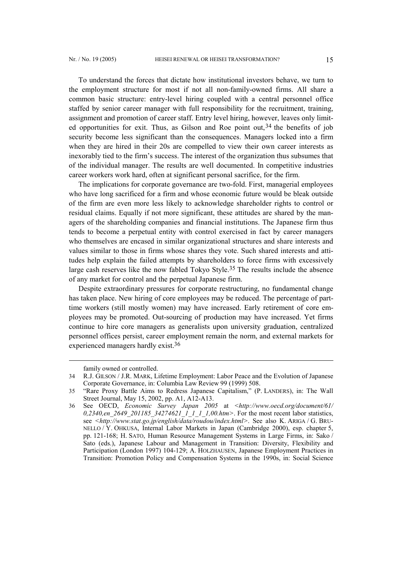To understand the forces that dictate how institutional investors behave, we turn to the employment structure for most if not all non-family-owned firms. All share a common basic structure: entry-level hiring coupled with a central personnel office staffed by senior career manager with full responsibility for the recruitment, training, assignment and promotion of career staff. Entry level hiring, however, leaves only limited opportunities for exit. Thus, as Gilson and Roe point out,  $34$  the benefits of job security become less significant than the consequences. Managers locked into a firm when they are hired in their 20s are compelled to view their own career interests as inexorably tied to the firm's success. The interest of the organization thus subsumes that of the individual manager. The results are well documented. In competitive industries career workers work hard, often at significant personal sacrifice, for the firm.

The implications for corporate governance are two-fold. First, managerial employees who have long sacrificed for a firm and whose economic future would be bleak outside of the firm are even more less likely to acknowledge shareholder rights to control or residual claims. Equally if not more significant, these attitudes are shared by the managers of the shareholding companies and financial institutions. The Japanese firm thus tends to become a perpetual entity with control exercised in fact by career managers who themselves are encased in similar organizational structures and share interests and values similar to those in firms whose shares they vote. Such shared interests and attitudes help explain the failed attempts by shareholders to force firms with excessively large cash reserves like the now fabled Tokyo Style[.35](#page-10-1) The results include the absence of any market for control and the perpetual Japanese firm.

Despite extraordinary pressures for corporate restructuring, no fundamental change has taken place. New hiring of core employees may be reduced. The percentage of parttime workers (still mostly women) may have increased. Early retirement of core employees may be promoted. Out-sourcing of production may have increased. Yet firms continue to hire core managers as generalists upon university graduation, centralized personnel offices persist, career employment remain the norm, and external markets for experienced managers hardly exist.[36](#page-10-2) 

<span id="page-10-0"></span>family owned or controlled.

<sup>34</sup> R.J. GILSON / J.R. MARK, Lifetime Employment: Labor Peace and the Evolution of Japanese Corporate Governance, in: Columbia Law Review 99 (1999) 508.

<span id="page-10-1"></span><sup>35</sup> "Rare Proxy Battle Aims to Redress Japanese Capitalism," (P. LANDERS), in: The Wall Street Journal, May 15, 2002, pp. A1, A12-A13.

<span id="page-10-2"></span><sup>36</sup> See OECD, *Economic Survey Japan 2005* at *<[http://www.oecd.org/document/61/](http://www.oecd.org/document/61/ 0,2340,en_2649_201185_34274621_1_1_1_1,00.htm) [0,2340,en\\_2649\\_201185\\_34274621\\_1\\_1\\_1\\_1,00.htm](http://www.oecd.org/document/61/ 0,2340,en_2649_201185_34274621_1_1_1_1,00.htm)>*. For the most recent labor statistics, see *[<http://www.stat.go.jp/english/data/roudou/index.html](http://www.stat.go.jp/english/data/roudou/index.html)>*. See also K. ARIGA / G. BRU-NELLO / Y. OHKUSA, Internal Labor Markets in Japan (Cambridge 2000), esp. chapter 5, pp. 121-168; H. SATO, Human Resource Management Systems in Large Firms, in: Sako / Sato (eds.), Japanese Labour and Management in Transition: Diversity, Flexibility and Participation (London 1997) 104-129; A. HOLZHAUSEN, Japanese Employment Practices in Transition: Promotion Policy and Compensation Systems in the 1990s, in: Social Science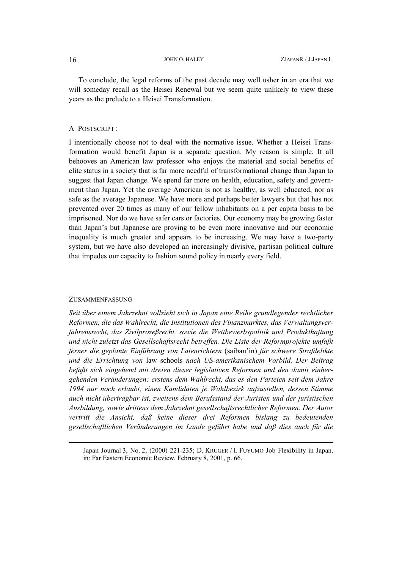To conclude, the legal reforms of the past decade may well usher in an era that we will someday recall as the Heisei Renewal but we seem quite unlikely to view these years as the prelude to a Heisei Transformation.

# A POSTSCRIPT :

I intentionally choose not to deal with the normative issue. Whether a Heisei Transformation would benefit Japan is a separate question. My reason is simple. It all behooves an American law professor who enjoys the material and social benefits of elite status in a society that is far more needful of transformational change than Japan to suggest that Japan change. We spend far more on health, education, safety and government than Japan. Yet the average American is not as healthy, as well educated, nor as safe as the average Japanese. We have more and perhaps better lawyers but that has not prevented over 20 times as many of our fellow inhabitants on a per capita basis to be imprisoned. Nor do we have safer cars or factories. Our economy may be growing faster than Japan's but Japanese are proving to be even more innovative and our economic inequality is much greater and appears to be increasing. We may have a two-party system, but we have also developed an increasingly divisive, partisan political culture that impedes our capacity to fashion sound policy in nearly every field.

# ZUSAMMENFASSUNG

l

*Seit über einem Jahrzehnt vollzieht sich in Japan eine Reihe grundlegender rechtlicher Reformen, die das Wahlrecht, die Institutionen des Finanzmarktes, das Verwaltungsverfahrensrecht, das Zivilprozeßrecht, sowie die Wettbewerbspolitik und Produkthaftung und nicht zuletzt das Gesellschaftsrecht betreffen. Die Liste der Reformprojekte umfaßt ferner die geplante Einführung von Laienrichtern* (saiban'in) *für schwere Strafdelikte und die Errichtung von* law schools *nach US-amerikanischem Vorbild. Der Beitrag befaßt sich eingehend mit dreien dieser legislativen Reformen und den damit einhergehenden Veränderungen: erstens dem Wahlrecht, das es den Parteien seit dem Jahre 1994 nur noch erlaubt, einen Kandidaten je Wahlbezirk aufzustellen, dessen Stimme auch nicht übertragbar ist, zweitens dem Berufsstand der Juristen und der juristischen Ausbildung, sowie drittens dem Jahrzehnt gesellschaftsrechtlicher Reformen. Der Autor vertritt die Ansicht, daß keine dieser drei Reformen bislang zu bedeutenden gesellschaftlichen Veränderungen im Lande geführt habe und daß dies auch für die* 

Japan Journal 3, No. 2, (2000) 221-235; D. KRUGER / I. FUYUMO Job Flexibility in Japan, in: Far Eastern Economic Review, February 8, 2001, p. 66.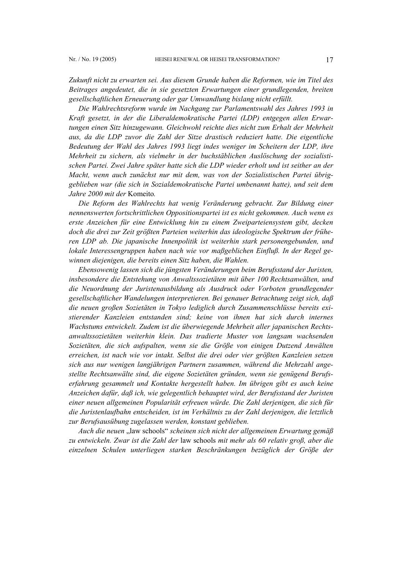*Zukunft nicht zu erwarten sei. Aus diesem Grunde haben die Reformen, wie im Titel des Beitrages angedeutet, die in sie gesetzten Erwartungen einer grundlegenden, breiten gesellschaftlichen Erneuerung oder gar Umwandlung bislang nicht erfüllt.* 

*Die Wahlrechtsreform wurde im Nachgang zur Parlamentswahl des Jahres 1993 in Kraft gesetzt, in der die Liberaldemokratische Partei (LDP) entgegen allen Erwartungen einen Sitz hinzugewann. Gleichwohl reichte dies nicht zum Erhalt der Mehrheit aus, da die LDP zuvor die Zahl der Sitze drastisch reduziert hatte. Die eigentliche Bedeutung der Wahl des Jahres 1993 liegt indes weniger im Scheitern der LDP, ihre Mehrheit zu sichern, als vielmehr in der buchstäblichen Auslöschung der sozialistischen Partei. Zwei Jahre später hatte sich die LDP wieder erholt und ist seither an der Macht, wenn auch zunächst nur mit dem, was von der Sozialistischen Partei übriggeblieben war (die sich in Sozialdemokratische Partei umbenannt hatte), und seit dem Jahre 2000 mit der* Komeito*.* 

*Die Reform des Wahlrechts hat wenig Veränderung gebracht. Zur Bildung einer nennenswerten fortschrittlichen Oppositionspartei ist es nicht gekommen. Auch wenn es erste Anzeichen für eine Entwicklung hin zu einem Zweiparteiensystem gibt, decken doch die drei zur Zeit größten Parteien weiterhin das ideologische Spektrum der früheren LDP ab. Die japanische Innenpolitik ist weiterhin stark personengebunden, und lokale Interessengruppen haben nach wie vor maßgeblichen Einfluß. In der Regel gewinnen diejenigen, die bereits einen Sitz haben, die Wahlen.* 

*Ebensowenig lassen sich die jüngsten Veränderungen beim Berufsstand der Juristen, insbesondere die Entstehung von Anwaltssozietäten mit über 100 Rechtsanwälten, und die Neuordnung der Juristenausbildung als Ausdruck oder Vorboten grundlegender gesellschaftlicher Wandelungen interpretieren. Bei genauer Betrachtung zeigt sich, daß die neuen großen Sozietäten in Tokyo lediglich durch Zusammenschlüsse bereits existierender Kanzleien entstanden sind; keine von ihnen hat sich durch internes Wachstums entwickelt. Zudem ist die überwiegende Mehrheit aller japanischen Rechtsanwaltssozietäten weiterhin klein. Das tradierte Muster von langsam wachsenden Sozietäten, die sich aufspalten, wenn sie die Größe von einigen Dutzend Anwälten erreichen, ist nach wie vor intakt. Selbst die drei oder vier größten Kanzleien setzen sich aus nur wenigen langjährigen Partnern zusammen, während die Mehrzahl angestellte Rechtsanwälte sind, die eigene Sozietäten gründen, wenn sie genügend Berufserfahrung gesammelt und Kontakte hergestellt haben. Im übrigen gibt es auch keine Anzeichen dafür, daß ich, wie gelegentlich behauptet wird, der Berufsstand der Juristen einer neuen allgemeinen Popularität erfreuen würde. Die Zahl derjenigen, die sich für die Juristenlaufbahn entscheiden, ist im Verhältnis zu der Zahl derjenigen, die letztlich zur Berufsausübung zugelassen werden, konstant geblieben.* 

*Auch die neuen* "law schools" *scheinen sich nicht der allgemeinen Erwartung gemäß zu entwickeln. Zwar ist die Zahl der* law schools *mit mehr als 60 relativ groß, aber die einzelnen Schulen unterliegen starken Beschränkungen bezüglich der Größe der*